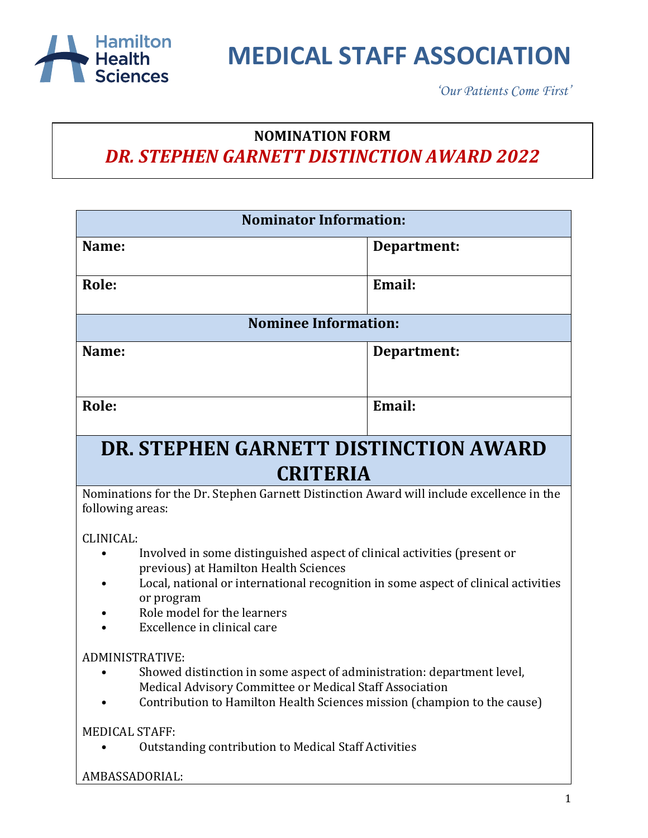

*'Our Patients Come First'*

#### **NOMINATION FORM** *DR. STEPHEN GARNETT DISTINCTION AWARD 2022*

| <b>Nominator Information:</b>                                                                                                                                                                                                                                                                    |             |
|--------------------------------------------------------------------------------------------------------------------------------------------------------------------------------------------------------------------------------------------------------------------------------------------------|-------------|
| Name:                                                                                                                                                                                                                                                                                            | Department: |
| <b>Role:</b>                                                                                                                                                                                                                                                                                     | Email:      |
| <b>Nominee Information:</b>                                                                                                                                                                                                                                                                      |             |
| Name:                                                                                                                                                                                                                                                                                            | Department: |
| Role:                                                                                                                                                                                                                                                                                            | Email:      |
| DR. STEPHEN GARNETT DISTINCTION AWARD<br><b>CRITERIA</b>                                                                                                                                                                                                                                         |             |
| Nominations for the Dr. Stephen Garnett Distinction Award will include excellence in the<br>following areas:                                                                                                                                                                                     |             |
| CLINICAL:<br>Involved in some distinguished aspect of clinical activities (present or<br>previous) at Hamilton Health Sciences<br>Local, national or international recognition in some aspect of clinical activities<br>or program<br>Role model for the learners<br>Excellence in clinical care |             |
| <b>ADMINISTRATIVE:</b><br>Showed distinction in some aspect of administration: department level,<br>Medical Advisory Committee or Medical Staff Association<br>Contribution to Hamilton Health Sciences mission (champion to the cause)<br>MEDICAL STAFF:                                        |             |
| Outstanding contribution to Medical Staff Activities<br>AMBASSADORIAL:                                                                                                                                                                                                                           |             |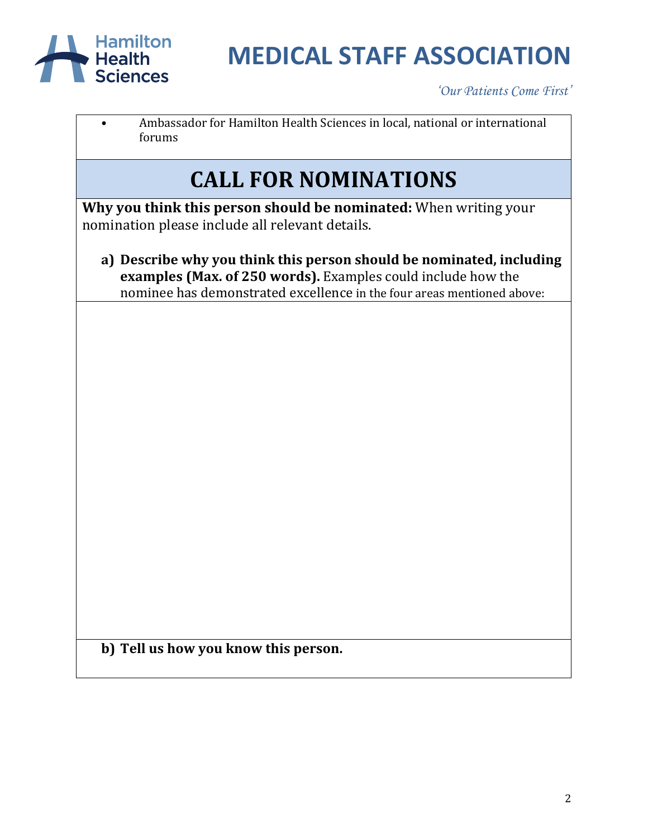

*'Our Patients Come First'*

• Ambassador for Hamilton Health Sciences in local, national or international forums

### **CALL FOR NOMINATIONS**

**Why you think this person should be nominated:** When writing your nomination please include all relevant details.

**a) Describe why you think this person should be nominated, including examples (Max. of 250 words).** Examples could include how the nominee has demonstrated excellence in the four areas mentioned above:

**b) Tell us how you know this person.**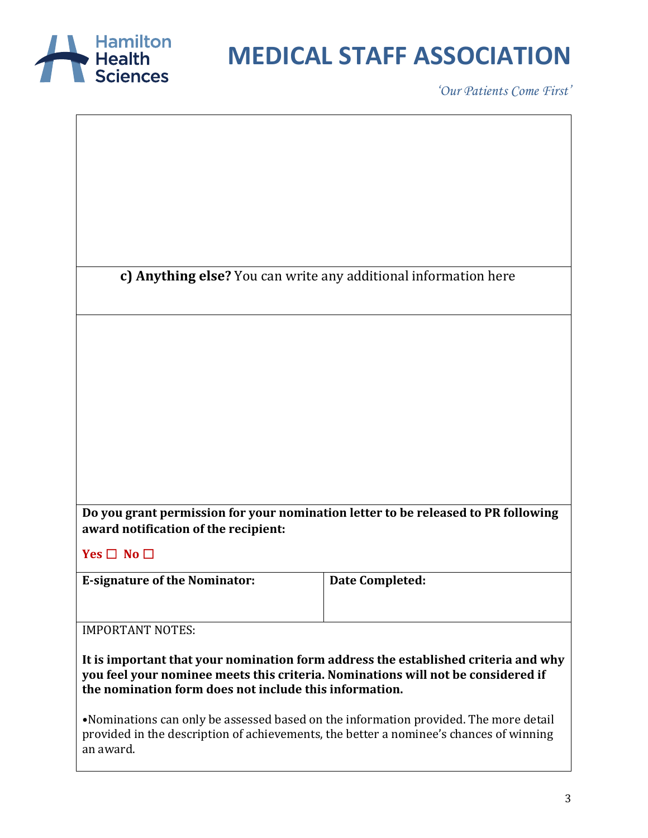

*'Our Patients Come First'*

**c) Anything else?** You can write any additional information here

**Do you grant permission for your nomination letter to be released to PR following award notification of the recipient:**

**Yes** ☐ **No** ☐

**E-signature of the Nominator: Date Completed:** 

IMPORTANT NOTES:

**It is important that your nomination form address the established criteria and why you feel your nominee meets this criteria. Nominations will not be considered if the nomination form does not include this information.**

•Nominations can only be assessed based on the information provided. The more detail provided in the description of achievements, the better a nominee's chances of winning an award.